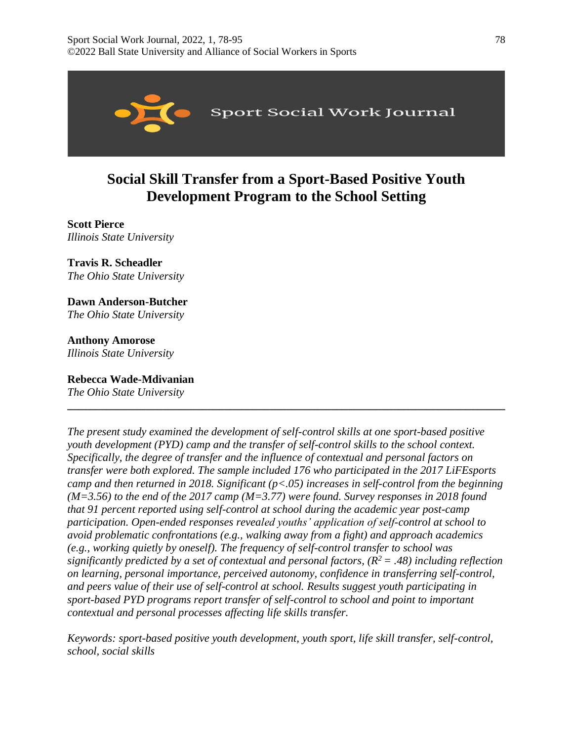

# **Social Skill Transfer from a Sport-Based Positive Youth Development Program to the School Setting**

**Scott Pierce**  *Illinois State University* 

**Travis R. Scheadler**  *The Ohio State University* 

**Dawn Anderson-Butcher** 

*The Ohio State University* 

**Anthony Amorose** *Illinois State University* 

**Rebecca Wade-Mdivanian** *The Ohio State University* 

*The present study examined the development of self-control skills at one sport-based positive youth development (PYD) camp and the transfer of self-control skills to the school context. Specifically, the degree of transfer and the influence of contextual and personal factors on transfer were both explored. The sample included 176 who participated in the 2017 LiFEsports camp and then returned in 2018. Significant (p<.05) increases in self-control from the beginning (M=3.56) to the end of the 2017 camp (M=3.77) were found. Survey responses in 2018 found that 91 percent reported using self-control at school during the academic year post-camp participation. Open-ended responses revealed youths' application of self-control at school to avoid problematic confrontations (e.g., walking away from a fight) and approach academics (e.g., working quietly by oneself). The frequency of self-control transfer to school was significantly predicted by a set of contextual and personal factors, (R<sup>2</sup>= .48) including reflection on learning, personal importance, perceived autonomy, confidence in transferring self-control, and peers value of their use of self-control at school. Results suggest youth participating in sport-based PYD programs report transfer of self-control to school and point to important contextual and personal processes affecting life skills transfer.*

**\_\_\_\_\_\_\_\_\_\_\_\_\_\_\_\_\_\_\_\_\_\_\_\_\_\_\_\_\_\_\_\_\_\_\_\_\_\_\_\_\_\_\_\_\_\_\_\_\_\_\_\_\_\_\_\_\_\_\_\_\_\_\_\_\_\_\_\_\_\_\_\_\_\_\_\_\_\_**

*Keywords: sport-based positive youth development, youth sport, life skill transfer, self-control, school, social skills*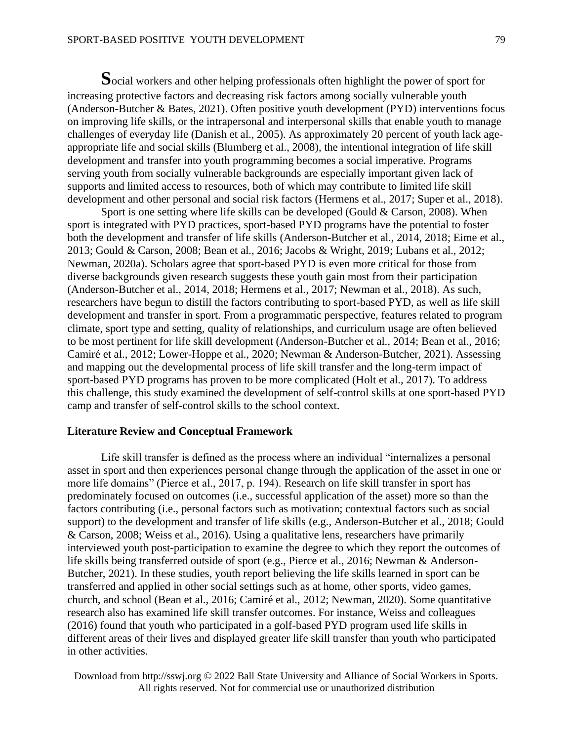**S**ocial workers and other helping professionals often highlight the power of sport for increasing protective factors and decreasing risk factors among socially vulnerable youth (Anderson-Butcher & Bates, 2021). Often positive youth development (PYD) interventions focus on improving life skills, or the intrapersonal and interpersonal skills that enable youth to manage challenges of everyday life (Danish et al., 2005). As approximately 20 percent of youth lack ageappropriate life and social skills (Blumberg et al., 2008), the intentional integration of life skill development and transfer into youth programming becomes a social imperative. Programs serving youth from socially vulnerable backgrounds are especially important given lack of supports and limited access to resources, both of which may contribute to limited life skill development and other personal and social risk factors (Hermens et al., 2017; Super et al., 2018).

Sport is one setting where life skills can be developed (Gould & Carson, 2008). When sport is integrated with PYD practices, sport-based PYD programs have the potential to foster both the development and transfer of life skills (Anderson-Butcher et al., 2014, 2018; Eime et al., 2013; Gould & Carson, 2008; Bean et al., 2016; Jacobs & Wright, 2019; Lubans et al., 2012; Newman, 2020a). Scholars agree that sport-based PYD is even more critical for those from diverse backgrounds given research suggests these youth gain most from their participation (Anderson-Butcher et al., 2014, 2018; Hermens et al., 2017; Newman et al., 2018). As such, researchers have begun to distill the factors contributing to sport-based PYD, as well as life skill development and transfer in sport. From a programmatic perspective, features related to program climate, sport type and setting, quality of relationships, and curriculum usage are often believed to be most pertinent for life skill development (Anderson-Butcher et al., 2014; Bean et al., 2016; Camiré et al., 2012; Lower-Hoppe et al., 2020; Newman & Anderson-Butcher, 2021). Assessing and mapping out the developmental process of life skill transfer and the long-term impact of sport-based PYD programs has proven to be more complicated (Holt et al., 2017). To address this challenge, this study examined the development of self-control skills at one sport-based PYD camp and transfer of self-control skills to the school context.

# **Literature Review and Conceptual Framework**

Life skill transfer is defined as the process where an individual "internalizes a personal asset in sport and then experiences personal change through the application of the asset in one or more life domains" (Pierce et al., 2017, p. 194). Research on life skill transfer in sport has predominately focused on outcomes (i.e., successful application of the asset) more so than the factors contributing (i.e., personal factors such as motivation; contextual factors such as social support) to the development and transfer of life skills (e.g., Anderson-Butcher et al., 2018; Gould & Carson, 2008; Weiss et al., 2016). Using a qualitative lens, researchers have primarily interviewed youth post-participation to examine the degree to which they report the outcomes of life skills being transferred outside of sport (e.g., Pierce et al., 2016; Newman & Anderson-Butcher, 2021). In these studies, youth report believing the life skills learned in sport can be transferred and applied in other social settings such as at home, other sports, video games, church, and school (Bean et al., 2016; Camiré et al., 2012; Newman, 2020). Some quantitative research also has examined life skill transfer outcomes. For instance, Weiss and colleagues (2016) found that youth who participated in a golf-based PYD program used life skills in different areas of their lives and displayed greater life skill transfer than youth who participated in other activities.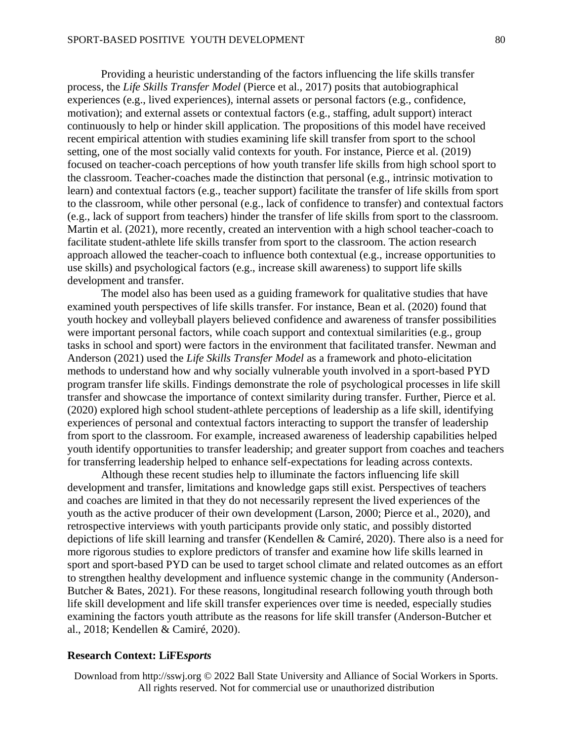Providing a heuristic understanding of the factors influencing the life skills transfer process, the *Life Skills Transfer Model* (Pierce et al., 2017) posits that autobiographical experiences (e.g., lived experiences), internal assets or personal factors (e.g., confidence, motivation); and external assets or contextual factors (e.g., staffing, adult support) interact continuously to help or hinder skill application. The propositions of this model have received recent empirical attention with studies examining life skill transfer from sport to the school setting, one of the most socially valid contexts for youth. For instance, Pierce et al. (2019) focused on teacher-coach perceptions of how youth transfer life skills from high school sport to the classroom. Teacher-coaches made the distinction that personal (e.g., intrinsic motivation to learn) and contextual factors (e.g., teacher support) facilitate the transfer of life skills from sport to the classroom, while other personal (e.g., lack of confidence to transfer) and contextual factors (e.g., lack of support from teachers) hinder the transfer of life skills from sport to the classroom. Martin et al. (2021), more recently, created an intervention with a high school teacher-coach to facilitate student-athlete life skills transfer from sport to the classroom. The action research approach allowed the teacher-coach to influence both contextual (e.g., increase opportunities to use skills) and psychological factors (e.g., increase skill awareness) to support life skills development and transfer.

The model also has been used as a guiding framework for qualitative studies that have examined youth perspectives of life skills transfer. For instance, Bean et al. (2020) found that youth hockey and volleyball players believed confidence and awareness of transfer possibilities were important personal factors, while coach support and contextual similarities (e.g., group tasks in school and sport) were factors in the environment that facilitated transfer. Newman and Anderson (2021) used the *Life Skills Transfer Model* as a framework and photo-elicitation methods to understand how and why socially vulnerable youth involved in a sport-based PYD program transfer life skills. Findings demonstrate the role of psychological processes in life skill transfer and showcase the importance of context similarity during transfer. Further, Pierce et al. (2020) explored high school student-athlete perceptions of leadership as a life skill, identifying experiences of personal and contextual factors interacting to support the transfer of leadership from sport to the classroom. For example, increased awareness of leadership capabilities helped youth identify opportunities to transfer leadership; and greater support from coaches and teachers for transferring leadership helped to enhance self-expectations for leading across contexts.

Although these recent studies help to illuminate the factors influencing life skill development and transfer, limitations and knowledge gaps still exist. Perspectives of teachers and coaches are limited in that they do not necessarily represent the lived experiences of the youth as the active producer of their own development (Larson, 2000; Pierce et al., 2020), and retrospective interviews with youth participants provide only static, and possibly distorted depictions of life skill learning and transfer (Kendellen & Camiré, 2020). There also is a need for more rigorous studies to explore predictors of transfer and examine how life skills learned in sport and sport-based PYD can be used to target school climate and related outcomes as an effort to strengthen healthy development and influence systemic change in the community (Anderson-Butcher & Bates, 2021). For these reasons, longitudinal research following youth through both life skill development and life skill transfer experiences over time is needed, especially studies examining the factors youth attribute as the reasons for life skill transfer (Anderson-Butcher et al., 2018; Kendellen & Camiré, 2020).

#### **Research Context: LiFE***sports*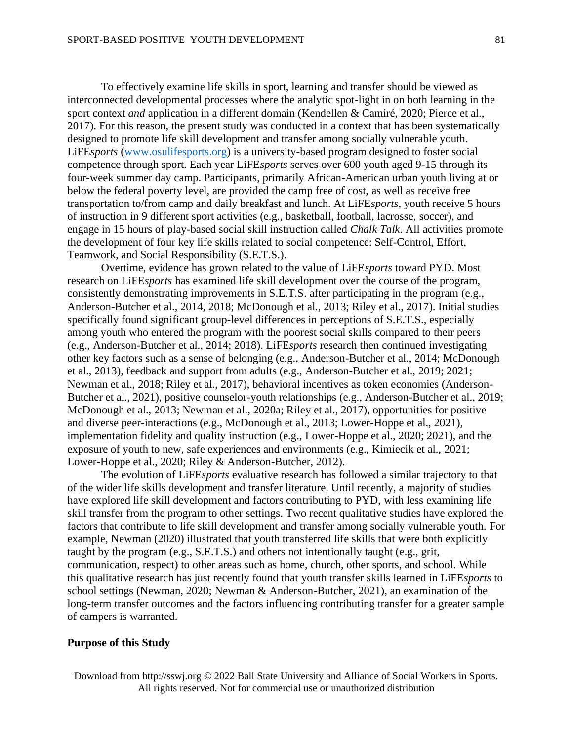To effectively examine life skills in sport, learning and transfer should be viewed as interconnected developmental processes where the analytic spot-light in on both learning in the sport context *and* application in a different domain (Kendellen & Camiré, 2020; Pierce et al., 2017). For this reason, the present study was conducted in a context that has been systematically designed to promote life skill development and transfer among socially vulnerable youth. LiFE*sports* [\(www.osulifesports.org\)](http://www.osulifesports.org/) is a university-based program designed to foster social competence through sport. Each year LiFE*sports* serves over 600 youth aged 9-15 through its four-week summer day camp. Participants, primarily African-American urban youth living at or below the federal poverty level, are provided the camp free of cost, as well as receive free transportation to/from camp and daily breakfast and lunch. At LiFE*sports*, youth receive 5 hours of instruction in 9 different sport activities (e.g., basketball, football, lacrosse, soccer), and engage in 15 hours of play-based social skill instruction called *Chalk Talk*. All activities promote the development of four key life skills related to social competence: Self-Control, Effort, Teamwork, and Social Responsibility (S.E.T.S.).

Overtime, evidence has grown related to the value of LiFE*sports* toward PYD. Most research on LiFE*sports* has examined life skill development over the course of the program, consistently demonstrating improvements in S.E.T.S. after participating in the program (e.g., Anderson-Butcher et al., 2014, 2018; McDonough et al., 2013; Riley et al., 2017). Initial studies specifically found significant group-level differences in perceptions of S.E.T.S., especially among youth who entered the program with the poorest social skills compared to their peers (e.g., Anderson-Butcher et al., 2014; 2018). LiFE*sports* research then continued investigating other key factors such as a sense of belonging (e.g., Anderson-Butcher et al., 2014; McDonough et al., 2013), feedback and support from adults (e.g., Anderson-Butcher et al., 2019; 2021; Newman et al., 2018; Riley et al., 2017), behavioral incentives as token economies (Anderson-Butcher et al., 2021), positive counselor-youth relationships (e.g., Anderson-Butcher et al., 2019; McDonough et al., 2013; Newman et al., 2020a; Riley et al., 2017), opportunities for positive and diverse peer-interactions (e.g., McDonough et al., 2013; Lower-Hoppe et al., 2021), implementation fidelity and quality instruction (e.g., Lower-Hoppe et al., 2020; 2021), and the exposure of youth to new, safe experiences and environments (e.g., Kimiecik et al., 2021; Lower-Hoppe et al., 2020; Riley & Anderson-Butcher, 2012).

The evolution of LiFE*sports* evaluative research has followed a similar trajectory to that of the wider life skills development and transfer literature. Until recently, a majority of studies have explored life skill development and factors contributing to PYD, with less examining life skill transfer from the program to other settings. Two recent qualitative studies have explored the factors that contribute to life skill development and transfer among socially vulnerable youth. For example, Newman (2020) illustrated that youth transferred life skills that were both explicitly taught by the program (e.g., S.E.T.S.) and others not intentionally taught (e.g., grit, communication, respect) to other areas such as home, church, other sports, and school. While this qualitative research has just recently found that youth transfer skills learned in LiFE*sports* to school settings (Newman, 2020; Newman & Anderson-Butcher, 2021), an examination of the long-term transfer outcomes and the factors influencing contributing transfer for a greater sample of campers is warranted.

#### **Purpose of this Study**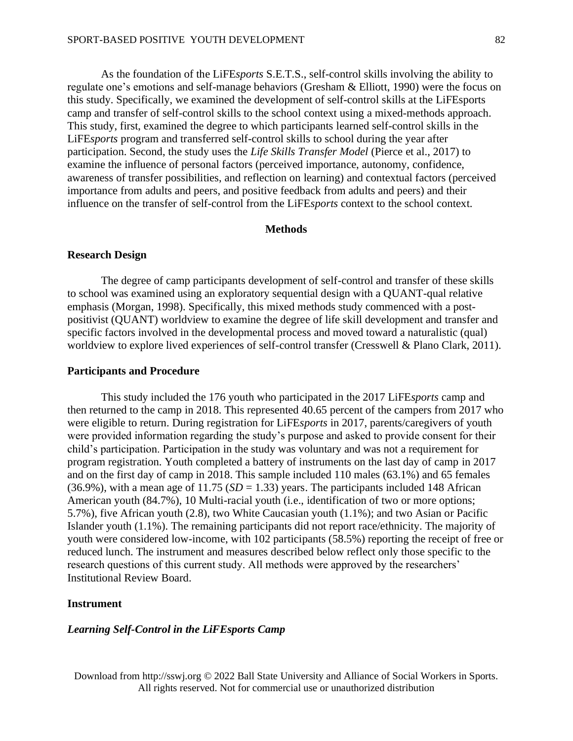As the foundation of the LiFE*sports* S.E.T.S., self-control skills involving the ability to regulate one's emotions and self-manage behaviors (Gresham & Elliott, 1990) were the focus on this study. Specifically, we examined the development of self-control skills at the LiFEsports camp and transfer of self-control skills to the school context using a mixed-methods approach. This study, first, examined the degree to which participants learned self-control skills in the LiFE*sports* program and transferred self-control skills to school during the year after participation. Second, the study uses the *Life Skills Transfer Model* (Pierce et al., 2017) to examine the influence of personal factors (perceived importance, autonomy, confidence, awareness of transfer possibilities, and reflection on learning) and contextual factors (perceived importance from adults and peers, and positive feedback from adults and peers) and their influence on the transfer of self-control from the LiFE*sports* context to the school context.

#### **Methods**

#### **Research Design**

The degree of camp participants development of self-control and transfer of these skills to school was examined using an exploratory sequential design with a QUANT-qual relative emphasis (Morgan, 1998). Specifically, this mixed methods study commenced with a postpositivist (QUANT) worldview to examine the degree of life skill development and transfer and specific factors involved in the developmental process and moved toward a naturalistic (qual) worldview to explore lived experiences of self-control transfer (Cresswell & Plano Clark, 2011).

#### **Participants and Procedure**

This study included the 176 youth who participated in the 2017 LiFE*sports* camp and then returned to the camp in 2018. This represented 40.65 percent of the campers from 2017 who were eligible to return. During registration for LiFE*sports* in 2017, parents/caregivers of youth were provided information regarding the study's purpose and asked to provide consent for their child's participation. Participation in the study was voluntary and was not a requirement for program registration. Youth completed a battery of instruments on the last day of camp in 2017 and on the first day of camp in 2018. This sample included 110 males (63.1%) and 65 females (36.9%), with a mean age of  $11.75$  ( $SD = 1.33$ ) years. The participants included 148 African American youth (84.7%), 10 Multi-racial youth (i.e., identification of two or more options; 5.7%), five African youth (2.8), two White Caucasian youth (1.1%); and two Asian or Pacific Islander youth (1.1%). The remaining participants did not report race/ethnicity. The majority of youth were considered low-income, with 102 participants (58.5%) reporting the receipt of free or reduced lunch. The instrument and measures described below reflect only those specific to the research questions of this current study. All methods were approved by the researchers' Institutional Review Board.

# **Instrument**

# *Learning Self-Control in the LiFEsports Camp*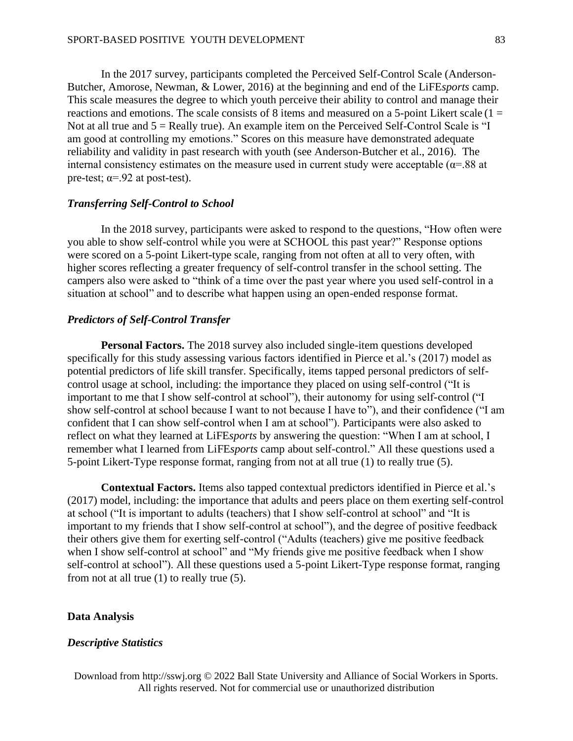In the 2017 survey, participants completed the Perceived Self-Control Scale (Anderson-Butcher, Amorose, Newman, & Lower, 2016) at the beginning and end of the LiFE*sports* camp. This scale measures the degree to which youth perceive their ability to control and manage their reactions and emotions. The scale consists of 8 items and measured on a 5-point Likert scale  $(1 =$ Not at all true and 5 = Really true). An example item on the Perceived Self-Control Scale is "I am good at controlling my emotions." Scores on this measure have demonstrated adequate reliability and validity in past research with youth (see Anderson-Butcher et al., 2016). The internal consistency estimates on the measure used in current study were acceptable ( $\alpha$ =.88 at pre-test;  $\alpha = .92$  at post-test).

#### *Transferring Self-Control to School*

In the 2018 survey, participants were asked to respond to the questions, "How often were you able to show self-control while you were at SCHOOL this past year?" Response options were scored on a 5-point Likert-type scale, ranging from not often at all to very often, with higher scores reflecting a greater frequency of self-control transfer in the school setting. The campers also were asked to "think of a time over the past year where you used self-control in a situation at school" and to describe what happen using an open-ended response format.

#### *Predictors of Self-Control Transfer*

**Personal Factors.** The 2018 survey also included single-item questions developed specifically for this study assessing various factors identified in Pierce et al.'s (2017) model as potential predictors of life skill transfer. Specifically, items tapped personal predictors of selfcontrol usage at school, including: the importance they placed on using self-control ("It is important to me that I show self-control at school"), their autonomy for using self-control ("I show self-control at school because I want to not because I have to"), and their confidence ("I am confident that I can show self-control when I am at school"). Participants were also asked to reflect on what they learned at LiFE*sports* by answering the question: "When I am at school, I remember what I learned from LiFE*sports* camp about self-control." All these questions used a 5-point Likert-Type response format, ranging from not at all true (1) to really true (5).

**Contextual Factors.** Items also tapped contextual predictors identified in Pierce et al.'s (2017) model, including: the importance that adults and peers place on them exerting self-control at school ("It is important to adults (teachers) that I show self-control at school" and "It is important to my friends that I show self-control at school"), and the degree of positive feedback their others give them for exerting self-control ("Adults (teachers) give me positive feedback when I show self-control at school" and "My friends give me positive feedback when I show self-control at school"). All these questions used a 5-point Likert-Type response format, ranging from not at all true (1) to really true (5).

#### **Data Analysis**

#### *Descriptive Statistics*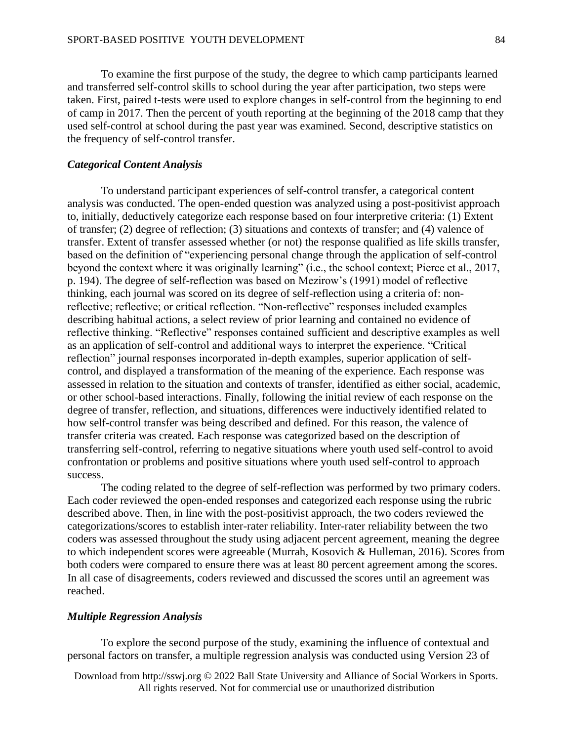To examine the first purpose of the study, the degree to which camp participants learned and transferred self-control skills to school during the year after participation, two steps were taken. First, paired t-tests were used to explore changes in self-control from the beginning to end of camp in 2017. Then the percent of youth reporting at the beginning of the 2018 camp that they used self-control at school during the past year was examined. Second, descriptive statistics on the frequency of self-control transfer.

#### *Categorical Content Analysis*

To understand participant experiences of self-control transfer, a categorical content analysis was conducted. The open-ended question was analyzed using a post-positivist approach to, initially, deductively categorize each response based on four interpretive criteria: (1) Extent of transfer; (2) degree of reflection; (3) situations and contexts of transfer; and (4) valence of transfer. Extent of transfer assessed whether (or not) the response qualified as life skills transfer, based on the definition of "experiencing personal change through the application of self-control beyond the context where it was originally learning" (i.e., the school context; Pierce et al., 2017, p. 194). The degree of self-reflection was based on Mezirow's (1991) model of reflective thinking, each journal was scored on its degree of self-reflection using a criteria of: nonreflective; reflective; or critical reflection. "Non-reflective" responses included examples describing habitual actions, a select review of prior learning and contained no evidence of reflective thinking. "Reflective" responses contained sufficient and descriptive examples as well as an application of self-control and additional ways to interpret the experience. "Critical reflection" journal responses incorporated in-depth examples, superior application of selfcontrol, and displayed a transformation of the meaning of the experience. Each response was assessed in relation to the situation and contexts of transfer, identified as either social, academic, or other school-based interactions. Finally, following the initial review of each response on the degree of transfer, reflection, and situations, differences were inductively identified related to how self-control transfer was being described and defined. For this reason, the valence of transfer criteria was created. Each response was categorized based on the description of transferring self-control, referring to negative situations where youth used self-control to avoid confrontation or problems and positive situations where youth used self-control to approach success.

The coding related to the degree of self-reflection was performed by two primary coders. Each coder reviewed the open-ended responses and categorized each response using the rubric described above. Then, in line with the post-positivist approach, the two coders reviewed the categorizations/scores to establish inter-rater reliability. Inter-rater reliability between the two coders was assessed throughout the study using adjacent percent agreement, meaning the degree to which independent scores were agreeable (Murrah, Kosovich & Hulleman, 2016). Scores from both coders were compared to ensure there was at least 80 percent agreement among the scores. In all case of disagreements, coders reviewed and discussed the scores until an agreement was reached.

# *Multiple Regression Analysis*

To explore the second purpose of the study, examining the influence of contextual and personal factors on transfer, a multiple regression analysis was conducted using Version 23 of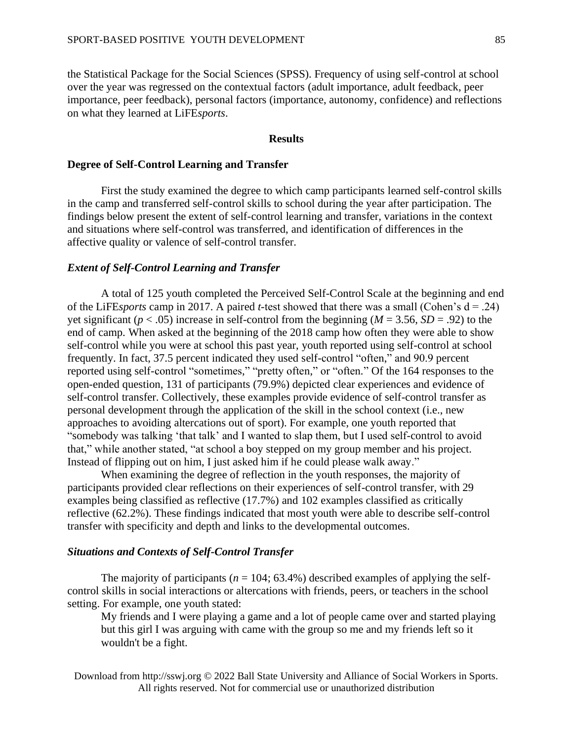the Statistical Package for the Social Sciences (SPSS). Frequency of using self-control at school over the year was regressed on the contextual factors (adult importance, adult feedback, peer importance, peer feedback), personal factors (importance, autonomy, confidence) and reflections on what they learned at LiFE*sports*.

#### **Results**

#### **Degree of Self-Control Learning and Transfer**

First the study examined the degree to which camp participants learned self-control skills in the camp and transferred self-control skills to school during the year after participation. The findings below present the extent of self-control learning and transfer, variations in the context and situations where self-control was transferred, and identification of differences in the affective quality or valence of self-control transfer.

#### *Extent of Self-Control Learning and Transfer*

A total of 125 youth completed the Perceived Self-Control Scale at the beginning and end of the LiFE*sports* camp in 2017. A paired *t*-test showed that there was a small (Cohen's  $d = .24$ ) yet significant ( $p < .05$ ) increase in self-control from the beginning ( $M = 3.56$ ,  $SD = .92$ ) to the end of camp. When asked at the beginning of the 2018 camp how often they were able to show self-control while you were at school this past year, youth reported using self-control at school frequently. In fact, 37.5 percent indicated they used self-control "often," and 90.9 percent reported using self-control "sometimes," "pretty often," or "often." Of the 164 responses to the open-ended question, 131 of participants (79.9%) depicted clear experiences and evidence of self-control transfer. Collectively, these examples provide evidence of self-control transfer as personal development through the application of the skill in the school context (i.e., new approaches to avoiding altercations out of sport). For example, one youth reported that "somebody was talking 'that talk' and I wanted to slap them, but I used self-control to avoid that," while another stated, "at school a boy stepped on my group member and his project. Instead of flipping out on him, I just asked him if he could please walk away."

When examining the degree of reflection in the youth responses, the majority of participants provided clear reflections on their experiences of self-control transfer, with 29 examples being classified as reflective (17.7%) and 102 examples classified as critically reflective (62.2%). These findings indicated that most youth were able to describe self-control transfer with specificity and depth and links to the developmental outcomes.

# *Situations and Contexts of Self-Control Transfer*

The majority of participants  $(n = 104; 63.4\%)$  described examples of applying the selfcontrol skills in social interactions or altercations with friends, peers, or teachers in the school setting. For example, one youth stated:

My friends and I were playing a game and a lot of people came over and started playing but this girl I was arguing with came with the group so me and my friends left so it wouldn't be a fight.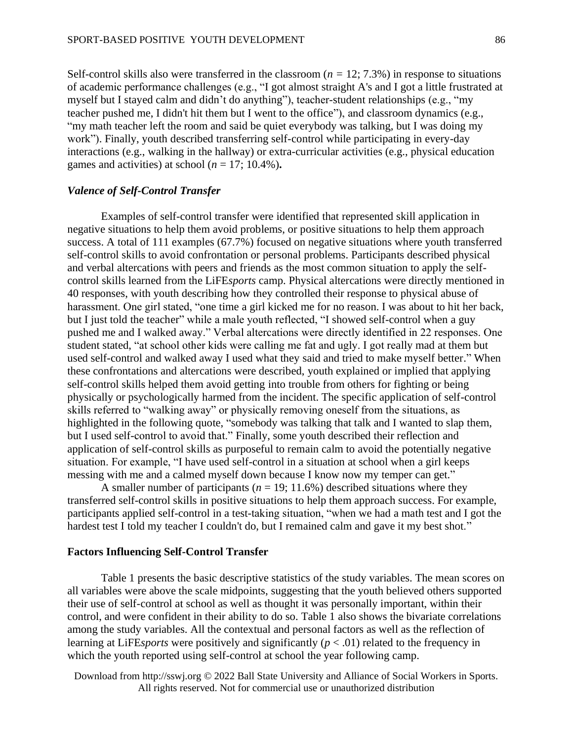Self-control skills also were transferred in the classroom (*n =* 12; 7.3%) in response to situations of academic performance challenges (e.g., "I got almost straight A's and I got a little frustrated at myself but I stayed calm and didn't do anything"), teacher-student relationships (e.g., "my teacher pushed me, I didn't hit them but I went to the office"), and classroom dynamics (e.g., "my math teacher left the room and said be quiet everybody was talking, but I was doing my work"). Finally, youth described transferring self-control while participating in every-day interactions (e.g., walking in the hallway) or extra-curricular activities (e.g., physical education games and activities) at school ( $n = 17$ ; 10.4%).

#### *Valence of Self-Control Transfer*

Examples of self-control transfer were identified that represented skill application in negative situations to help them avoid problems, or positive situations to help them approach success. A total of 111 examples (67.7%) focused on negative situations where youth transferred self-control skills to avoid confrontation or personal problems. Participants described physical and verbal altercations with peers and friends as the most common situation to apply the selfcontrol skills learned from the LiFE*sports* camp. Physical altercations were directly mentioned in 40 responses, with youth describing how they controlled their response to physical abuse of harassment. One girl stated, "one time a girl kicked me for no reason. I was about to hit her back, but I just told the teacher" while a male youth reflected, "I showed self-control when a guy pushed me and I walked away." Verbal altercations were directly identified in 22 responses. One student stated, "at school other kids were calling me fat and ugly. I got really mad at them but used self-control and walked away I used what they said and tried to make myself better." When these confrontations and altercations were described, youth explained or implied that applying self-control skills helped them avoid getting into trouble from others for fighting or being physically or psychologically harmed from the incident. The specific application of self-control skills referred to "walking away" or physically removing oneself from the situations, as highlighted in the following quote, "somebody was talking that talk and I wanted to slap them, but I used self-control to avoid that." Finally, some youth described their reflection and application of self-control skills as purposeful to remain calm to avoid the potentially negative situation. For example, "I have used self-control in a situation at school when a girl keeps messing with me and a calmed myself down because I know now my temper can get."

A smaller number of participants ( $n = 19$ ; 11.6%) described situations where they transferred self-control skills in positive situations to help them approach success. For example, participants applied self-control in a test-taking situation, "when we had a math test and I got the hardest test I told my teacher I couldn't do, but I remained calm and gave it my best shot."

#### **Factors Influencing Self-Control Transfer**

Table 1 presents the basic descriptive statistics of the study variables. The mean scores on all variables were above the scale midpoints, suggesting that the youth believed others supported their use of self-control at school as well as thought it was personally important, within their control, and were confident in their ability to do so. Table 1 also shows the bivariate correlations among the study variables. All the contextual and personal factors as well as the reflection of learning at LiFE*sports* were positively and significantly (*p* < .01) related to the frequency in which the youth reported using self-control at school the year following camp.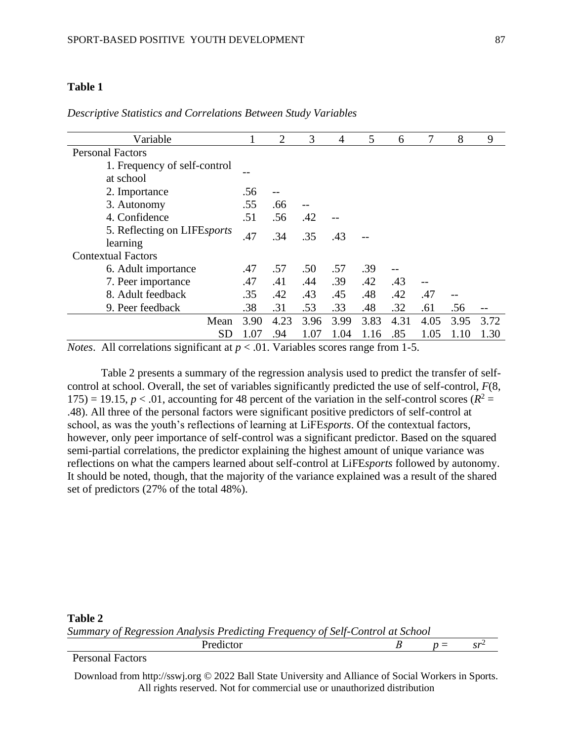# **Table 1**

| Variable                     |      | $\overline{2}$ | 3    | 4    | 5    | 6    | 7    | 8    | 9    |
|------------------------------|------|----------------|------|------|------|------|------|------|------|
| <b>Personal Factors</b>      |      |                |      |      |      |      |      |      |      |
| 1. Frequency of self-control |      |                |      |      |      |      |      |      |      |
| at school                    |      |                |      |      |      |      |      |      |      |
| 2. Importance                | .56  |                |      |      |      |      |      |      |      |
| 3. Autonomy                  | .55  | .66            |      |      |      |      |      |      |      |
| 4. Confidence                | .51  | .56            | .42  |      |      |      |      |      |      |
| 5. Reflecting on LIFEsports  | .47  | .34            | .35  | .43  |      |      |      |      |      |
| learning                     |      |                |      |      |      |      |      |      |      |
| <b>Contextual Factors</b>    |      |                |      |      |      |      |      |      |      |
| 6. Adult importance          | .47  | .57            | .50  | .57  | .39  |      |      |      |      |
| 7. Peer importance           | .47  | .41            | .44  | .39  | .42  | .43  | $-$  |      |      |
| 8. Adult feedback            | .35  | .42            | .43  | .45  | .48  | .42  | .47  |      |      |
| 9. Peer feedback             | .38  | .31            | .53  | .33  | .48  | .32  | .61  | .56  |      |
| Mean                         | 3.90 | 4.23           | 3.96 | 3.99 | 3.83 | 4.31 | 4.05 | 3.95 | 3.72 |
| $\operatorname{SD}$          | 1.07 | .94            | 1.07 | 1.04 | 1.16 | .85  | 1.05 |      | 1.30 |

*Descriptive Statistics and Correlations Between Study Variables* 

*Notes*. All correlations significant at  $p < .01$ . Variables scores range from 1-5.

Table 2 presents a summary of the regression analysis used to predict the transfer of selfcontrol at school. Overall, the set of variables significantly predicted the use of self-control, *F*(8, 175) = 19.15,  $p < .01$ , accounting for 48 percent of the variation in the self-control scores ( $R^2 =$ .48). All three of the personal factors were significant positive predictors of self-control at school, as was the youth's reflections of learning at LiFE*sports*. Of the contextual factors, however, only peer importance of self-control was a significant predictor. Based on the squared semi-partial correlations, the predictor explaining the highest amount of unique variance was reflections on what the campers learned about self-control at LiFE*sports* followed by autonomy. It should be noted, though, that the majority of the variance explained was a result of the shared set of predictors (27% of the total 48%).

# **Table 2** *Summary of Regression Analysis Predicting Frequency of Self-Control at School*

Predictor *B*  $p = sr^2$ Personal Factors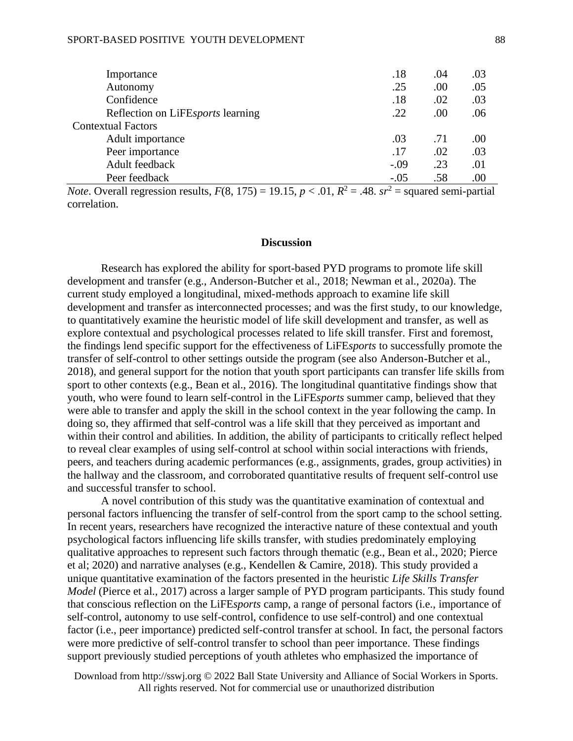#### SPORT-BASED POSITIVE YOUTH DEVELOPMENT

| Importance                        | .18    | .04 | .03 |
|-----------------------------------|--------|-----|-----|
| Autonomy                          | .25    | .00 | .05 |
| Confidence                        | .18    | .02 | .03 |
| Reflection on Lifesports learning | .22    | .00 | .06 |
| <b>Contextual Factors</b>         |        |     |     |
| Adult importance                  | .03    | .71 | .00 |
| Peer importance                   | .17    | .02 | .03 |
| Adult feedback                    | $-.09$ | .23 | .01 |
| Peer feedback                     | $-.05$ | .58 | .00 |

*Note*. Overall regression results,  $F(8, 175) = 19.15$ ,  $p < .01$ ,  $R^2 = .48$ .  $sr^2 =$  squared semi-partial correlation.

#### **Discussion**

Research has explored the ability for sport-based PYD programs to promote life skill development and transfer (e.g., Anderson-Butcher et al., 2018; Newman et al., 2020a). The current study employed a longitudinal, mixed-methods approach to examine life skill development and transfer as interconnected processes; and was the first study, to our knowledge, to quantitatively examine the heuristic model of life skill development and transfer, as well as explore contextual and psychological processes related to life skill transfer. First and foremost, the findings lend specific support for the effectiveness of LiFE*sports* to successfully promote the transfer of self-control to other settings outside the program (see also Anderson-Butcher et al., 2018), and general support for the notion that youth sport participants can transfer life skills from sport to other contexts (e.g., Bean et al., 2016). The longitudinal quantitative findings show that youth, who were found to learn self-control in the LiFE*sports* summer camp, believed that they were able to transfer and apply the skill in the school context in the year following the camp. In doing so, they affirmed that self-control was a life skill that they perceived as important and within their control and abilities. In addition, the ability of participants to critically reflect helped to reveal clear examples of using self-control at school within social interactions with friends, peers, and teachers during academic performances (e.g., assignments, grades, group activities) in the hallway and the classroom, and corroborated quantitative results of frequent self-control use and successful transfer to school.

A novel contribution of this study was the quantitative examination of contextual and personal factors influencing the transfer of self-control from the sport camp to the school setting. In recent years, researchers have recognized the interactive nature of these contextual and youth psychological factors influencing life skills transfer, with studies predominately employing qualitative approaches to represent such factors through thematic (e.g., Bean et al., 2020; Pierce et al; 2020) and narrative analyses (e.g., Kendellen & Camire, 2018). This study provided a unique quantitative examination of the factors presented in the heuristic *Life Skills Transfer Model* (Pierce et al., 2017) across a larger sample of PYD program participants. This study found that conscious reflection on the LiFE*sports* camp, a range of personal factors (i.e., importance of self-control, autonomy to use self-control, confidence to use self-control) and one contextual factor (i.e., peer importance) predicted self-control transfer at school. In fact, the personal factors were more predictive of self-control transfer to school than peer importance. These findings support previously studied perceptions of youth athletes who emphasized the importance of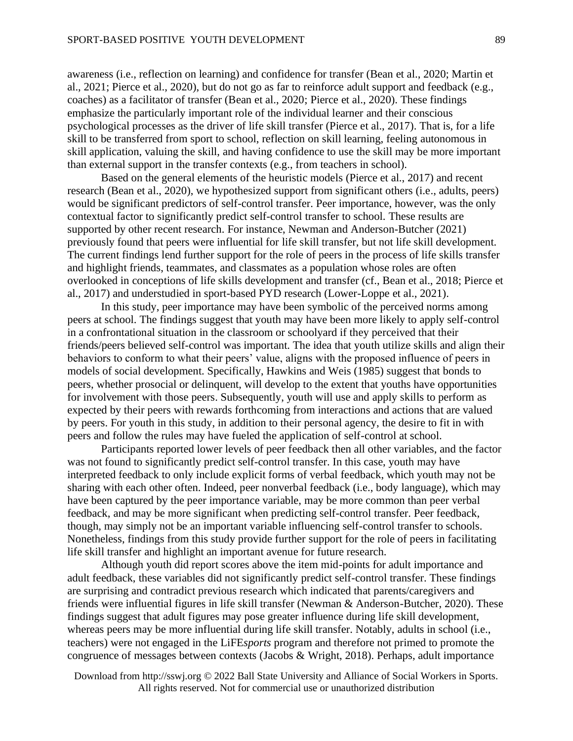awareness (i.e., reflection on learning) and confidence for transfer (Bean et al., 2020; Martin et al., 2021; Pierce et al., 2020), but do not go as far to reinforce adult support and feedback (e.g., coaches) as a facilitator of transfer (Bean et al., 2020; Pierce et al., 2020). These findings emphasize the particularly important role of the individual learner and their conscious psychological processes as the driver of life skill transfer (Pierce et al., 2017). That is, for a life skill to be transferred from sport to school, reflection on skill learning, feeling autonomous in skill application, valuing the skill, and having confidence to use the skill may be more important than external support in the transfer contexts (e.g., from teachers in school).

Based on the general elements of the heuristic models (Pierce et al., 2017) and recent research (Bean et al., 2020), we hypothesized support from significant others (i.e., adults, peers) would be significant predictors of self-control transfer. Peer importance, however, was the only contextual factor to significantly predict self-control transfer to school. These results are supported by other recent research. For instance, Newman and Anderson-Butcher (2021) previously found that peers were influential for life skill transfer, but not life skill development. The current findings lend further support for the role of peers in the process of life skills transfer and highlight friends, teammates, and classmates as a population whose roles are often overlooked in conceptions of life skills development and transfer (cf., Bean et al., 2018; Pierce et al., 2017) and understudied in sport-based PYD research (Lower-Loppe et al., 2021).

In this study, peer importance may have been symbolic of the perceived norms among peers at school. The findings suggest that youth may have been more likely to apply self-control in a confrontational situation in the classroom or schoolyard if they perceived that their friends/peers believed self-control was important. The idea that youth utilize skills and align their behaviors to conform to what their peers' value, aligns with the proposed influence of peers in models of social development. Specifically, Hawkins and Weis (1985) suggest that bonds to peers, whether prosocial or delinquent, will develop to the extent that youths have opportunities for involvement with those peers. Subsequently, youth will use and apply skills to perform as expected by their peers with rewards forthcoming from interactions and actions that are valued by peers. For youth in this study, in addition to their personal agency, the desire to fit in with peers and follow the rules may have fueled the application of self-control at school.

Participants reported lower levels of peer feedback then all other variables, and the factor was not found to significantly predict self-control transfer. In this case, youth may have interpreted feedback to only include explicit forms of verbal feedback, which youth may not be sharing with each other often. Indeed, peer nonverbal feedback (i.e., body language), which may have been captured by the peer importance variable, may be more common than peer verbal feedback, and may be more significant when predicting self-control transfer. Peer feedback, though, may simply not be an important variable influencing self-control transfer to schools. Nonetheless, findings from this study provide further support for the role of peers in facilitating life skill transfer and highlight an important avenue for future research.

Although youth did report scores above the item mid-points for adult importance and adult feedback, these variables did not significantly predict self-control transfer. These findings are surprising and contradict previous research which indicated that parents/caregivers and friends were influential figures in life skill transfer (Newman & Anderson-Butcher, 2020). These findings suggest that adult figures may pose greater influence during life skill development, whereas peers may be more influential during life skill transfer. Notably, adults in school (i.e., teachers) were not engaged in the LiFE*sports* program and therefore not primed to promote the congruence of messages between contexts (Jacobs & Wright, 2018). Perhaps, adult importance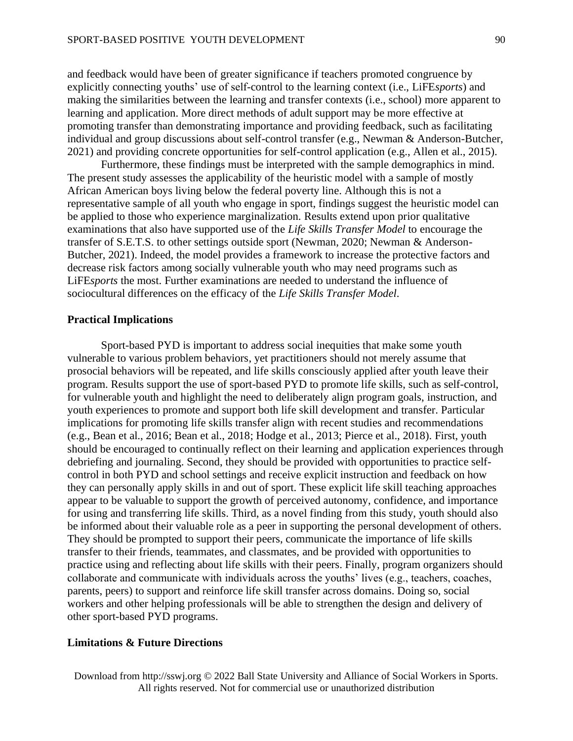and feedback would have been of greater significance if teachers promoted congruence by explicitly connecting youths' use of self-control to the learning context (i.e., LiFE*sports*) and making the similarities between the learning and transfer contexts (i.e., school) more apparent to learning and application. More direct methods of adult support may be more effective at promoting transfer than demonstrating importance and providing feedback, such as facilitating individual and group discussions about self-control transfer (e.g., Newman & Anderson-Butcher, 2021) and providing concrete opportunities for self-control application (e.g., Allen et al., 2015).

Furthermore, these findings must be interpreted with the sample demographics in mind. The present study assesses the applicability of the heuristic model with a sample of mostly African American boys living below the federal poverty line. Although this is not a representative sample of all youth who engage in sport, findings suggest the heuristic model can be applied to those who experience marginalization. Results extend upon prior qualitative examinations that also have supported use of the *Life Skills Transfer Model* to encourage the transfer of S.E.T.S. to other settings outside sport (Newman, 2020; Newman & Anderson-Butcher, 2021). Indeed, the model provides a framework to increase the protective factors and decrease risk factors among socially vulnerable youth who may need programs such as LiFE*sports* the most. Further examinations are needed to understand the influence of sociocultural differences on the efficacy of the *Life Skills Transfer Model*.

#### **Practical Implications**

Sport-based PYD is important to address social inequities that make some youth vulnerable to various problem behaviors, yet practitioners should not merely assume that prosocial behaviors will be repeated, and life skills consciously applied after youth leave their program. Results support the use of sport-based PYD to promote life skills, such as self-control, for vulnerable youth and highlight the need to deliberately align program goals, instruction, and youth experiences to promote and support both life skill development and transfer. Particular implications for promoting life skills transfer align with recent studies and recommendations (e.g., Bean et al., 2016; Bean et al., 2018; Hodge et al., 2013; Pierce et al., 2018). First, youth should be encouraged to continually reflect on their learning and application experiences through debriefing and journaling. Second, they should be provided with opportunities to practice selfcontrol in both PYD and school settings and receive explicit instruction and feedback on how they can personally apply skills in and out of sport. These explicit life skill teaching approaches appear to be valuable to support the growth of perceived autonomy, confidence, and importance for using and transferring life skills. Third, as a novel finding from this study, youth should also be informed about their valuable role as a peer in supporting the personal development of others. They should be prompted to support their peers, communicate the importance of life skills transfer to their friends, teammates, and classmates, and be provided with opportunities to practice using and reflecting about life skills with their peers. Finally, program organizers should collaborate and communicate with individuals across the youths' lives (e.g., teachers, coaches, parents, peers) to support and reinforce life skill transfer across domains. Doing so, social workers and other helping professionals will be able to strengthen the design and delivery of other sport-based PYD programs.

#### **Limitations & Future Directions**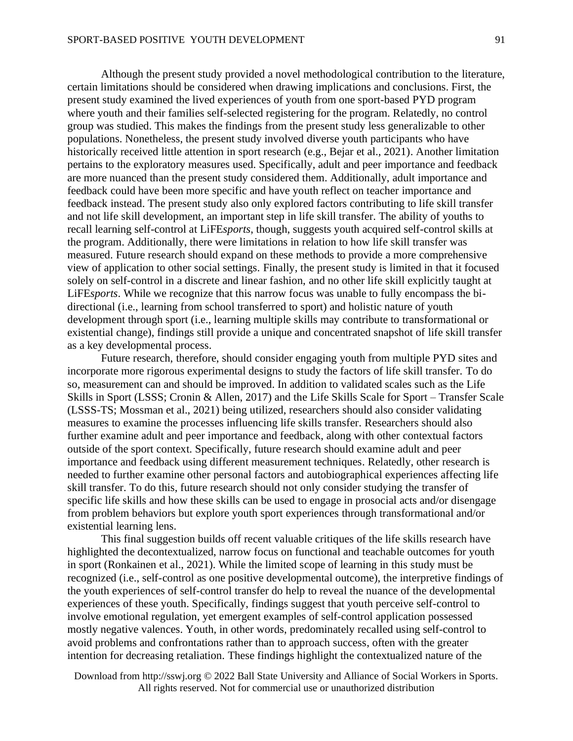Although the present study provided a novel methodological contribution to the literature, certain limitations should be considered when drawing implications and conclusions. First, the present study examined the lived experiences of youth from one sport-based PYD program where youth and their families self-selected registering for the program. Relatedly, no control group was studied. This makes the findings from the present study less generalizable to other populations. Nonetheless, the present study involved diverse youth participants who have historically received little attention in sport research (e.g., Bejar et al., 2021). Another limitation pertains to the exploratory measures used. Specifically, adult and peer importance and feedback are more nuanced than the present study considered them. Additionally, adult importance and feedback could have been more specific and have youth reflect on teacher importance and feedback instead. The present study also only explored factors contributing to life skill transfer and not life skill development, an important step in life skill transfer. The ability of youths to recall learning self-control at LiFE*sports*, though, suggests youth acquired self-control skills at the program. Additionally, there were limitations in relation to how life skill transfer was measured. Future research should expand on these methods to provide a more comprehensive view of application to other social settings. Finally, the present study is limited in that it focused solely on self-control in a discrete and linear fashion, and no other life skill explicitly taught at LiFE*sports*. While we recognize that this narrow focus was unable to fully encompass the bidirectional (i.e., learning from school transferred to sport) and holistic nature of youth development through sport (i.e., learning multiple skills may contribute to transformational or existential change), findings still provide a unique and concentrated snapshot of life skill transfer as a key developmental process.

Future research, therefore, should consider engaging youth from multiple PYD sites and incorporate more rigorous experimental designs to study the factors of life skill transfer. To do so, measurement can and should be improved. In addition to validated scales such as the Life Skills in Sport (LSSS; Cronin & Allen, 2017) and the Life Skills Scale for Sport – Transfer Scale (LSSS-TS; Mossman et al., 2021) being utilized, researchers should also consider validating measures to examine the processes influencing life skills transfer. Researchers should also further examine adult and peer importance and feedback, along with other contextual factors outside of the sport context. Specifically, future research should examine adult and peer importance and feedback using different measurement techniques. Relatedly, other research is needed to further examine other personal factors and autobiographical experiences affecting life skill transfer. To do this, future research should not only consider studying the transfer of specific life skills and how these skills can be used to engage in prosocial acts and/or disengage from problem behaviors but explore youth sport experiences through transformational and/or existential learning lens.

This final suggestion builds off recent valuable critiques of the life skills research have highlighted the decontextualized, narrow focus on functional and teachable outcomes for youth in sport (Ronkainen et al., 2021). While the limited scope of learning in this study must be recognized (i.e., self-control as one positive developmental outcome), the interpretive findings of the youth experiences of self-control transfer do help to reveal the nuance of the developmental experiences of these youth. Specifically, findings suggest that youth perceive self-control to involve emotional regulation, yet emergent examples of self-control application possessed mostly negative valences. Youth, in other words, predominately recalled using self-control to avoid problems and confrontations rather than to approach success, often with the greater intention for decreasing retaliation. These findings highlight the contextualized nature of the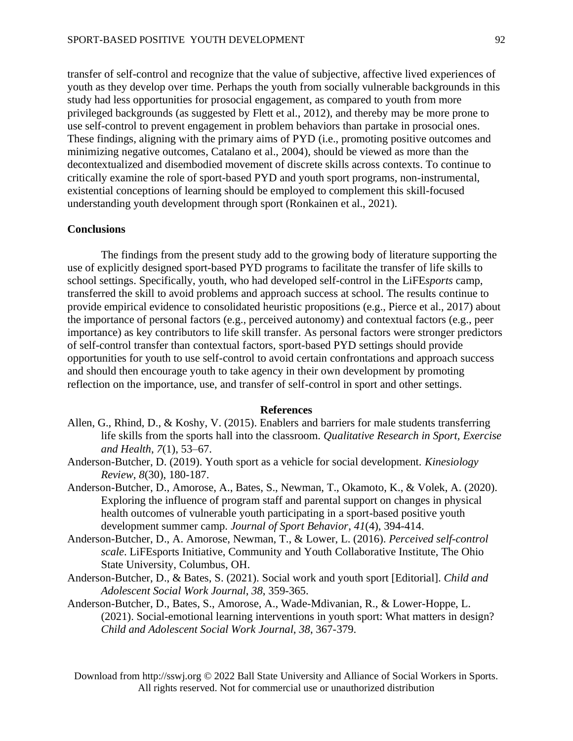transfer of self-control and recognize that the value of subjective, affective lived experiences of youth as they develop over time. Perhaps the youth from socially vulnerable backgrounds in this study had less opportunities for prosocial engagement, as compared to youth from more privileged backgrounds (as suggested by Flett et al., 2012), and thereby may be more prone to use self-control to prevent engagement in problem behaviors than partake in prosocial ones. These findings, aligning with the primary aims of PYD (i.e., promoting positive outcomes and minimizing negative outcomes, Catalano et al., 2004), should be viewed as more than the decontextualized and disembodied movement of discrete skills across contexts. To continue to critically examine the role of sport-based PYD and youth sport programs, non-instrumental, existential conceptions of learning should be employed to complement this skill-focused understanding youth development through sport (Ronkainen et al., 2021).

#### **Conclusions**

The findings from the present study add to the growing body of literature supporting the use of explicitly designed sport-based PYD programs to facilitate the transfer of life skills to school settings. Specifically, youth, who had developed self-control in the LiFE*sports* camp, transferred the skill to avoid problems and approach success at school. The results continue to provide empirical evidence to consolidated heuristic propositions (e.g., Pierce et al., 2017) about the importance of personal factors (e.g., perceived autonomy) and contextual factors (e.g., peer importance) as key contributors to life skill transfer. As personal factors were stronger predictors of self-control transfer than contextual factors, sport-based PYD settings should provide opportunities for youth to use self-control to avoid certain confrontations and approach success and should then encourage youth to take agency in their own development by promoting reflection on the importance, use, and transfer of self-control in sport and other settings.

#### **References**

- Allen, G., Rhind, D., & Koshy, V. (2015). Enablers and barriers for male students transferring life skills from the sports hall into the classroom. *Qualitative Research in Sport, Exercise and Health*, *7*(1), 53–67.
- Anderson-Butcher, D. (2019). Youth sport as a vehicle for social development. *Kinesiology Review*, *8*(30), 180-187.
- Anderson-Butcher, D., Amorose, A., Bates, S., Newman, T., Okamoto, K., & Volek, A. (2020). Exploring the influence of program staff and parental support on changes in physical health outcomes of vulnerable youth participating in a sport-based positive youth development summer camp. *Journal of Sport Behavior*, *41*(4), 394-414.
- Anderson-Butcher, D., A. Amorose, Newman, T., & Lower, L. (2016). *Perceived self-control scale*. LiFEsports Initiative, Community and Youth Collaborative Institute, The Ohio State University, Columbus, OH.
- Anderson-Butcher, D., & Bates, S. (2021). Social work and youth sport [Editorial]. *Child and Adolescent Social Work Journal*, *38*, 359-365.
- Anderson-Butcher, D., Bates, S., Amorose, A., Wade-Mdivanian, R., & Lower-Hoppe, L. (2021). Social-emotional learning interventions in youth sport: What matters in design? *Child and Adolescent Social Work Journal*, *38*, 367-379.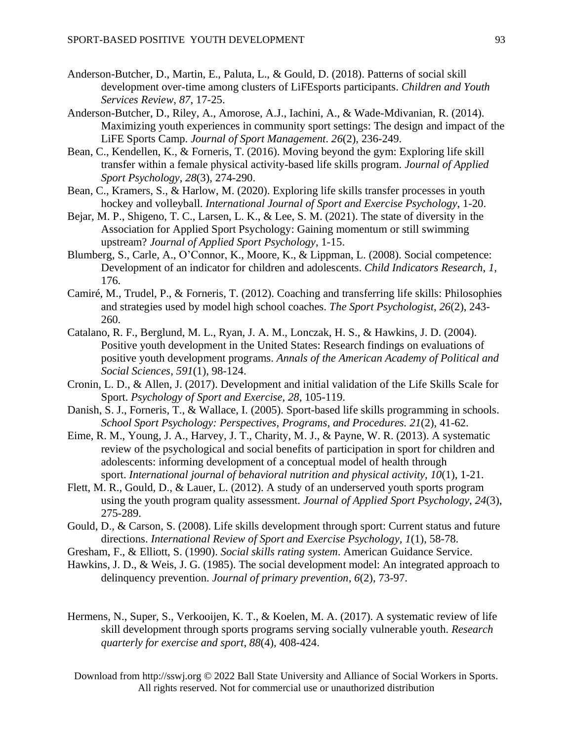- Anderson-Butcher, D., Martin, E., Paluta, L., & Gould, D. (2018). Patterns of social skill development over-time among clusters of LiFEsports participants. *Children and Youth Services Review*, *87*, 17-25.
- Anderson-Butcher, D., Riley, A., Amorose, A.J., Iachini, A., & Wade-Mdivanian, R. (2014). Maximizing youth experiences in community sport settings: The design and impact of the LiFE Sports Camp. *Journal of Sport Management*. *26*(2), 236-249.
- Bean, C., Kendellen, K., & Forneris, T. (2016). Moving beyond the gym: Exploring life skill transfer within a female physical activity-based life skills program. *Journal of Applied Sport Psychology*, *28*(3), 274-290.
- Bean, C., Kramers, S., & Harlow, M. (2020). Exploring life skills transfer processes in youth hockey and volleyball. *International Journal of Sport and Exercise Psychology*, 1-20.
- Bejar, M. P., Shigeno, T. C., Larsen, L. K., & Lee, S. M. (2021). The state of diversity in the Association for Applied Sport Psychology: Gaining momentum or still swimming upstream? *Journal of Applied Sport Psychology*, 1-15.
- Blumberg, S., Carle, A., O'Connor, K., Moore, K., & Lippman, L. (2008). Social competence: Development of an indicator for children and adolescents. *Child Indicators Research*, *1*, 176.
- Camiré, M., Trudel, P., & Forneris, T. (2012). Coaching and transferring life skills: Philosophies and strategies used by model high school coaches. *The Sport Psychologist*, *26*(2), 243- 260.
- Catalano, R. F., Berglund, M. L., Ryan, J. A. M., Lonczak, H. S., & Hawkins, J. D. (2004). Positive youth development in the United States: Research findings on evaluations of positive youth development programs. *Annals of the American Academy of Political and Social Sciences*, *591*(1), 98-124.
- Cronin, L. D., & Allen, J. (2017). Development and initial validation of the Life Skills Scale for Sport. *Psychology of Sport and Exercise*, *28*, 105-119.
- Danish, S. J., Forneris, T., & Wallace, I. (2005). Sport-based life skills programming in schools. *School Sport Psychology: Perspectives, Programs, and Procedures. 21*(2), 41-62.
- Eime, R. M., Young, J. A., Harvey, J. T., Charity, M. J., & Payne, W. R. (2013). A systematic review of the psychological and social benefits of participation in sport for children and adolescents: informing development of a conceptual model of health through sport. *International journal of behavioral nutrition and physical activity*, *10*(1), 1-21.
- Flett, M. R., Gould, D., & Lauer, L. (2012). A study of an underserved youth sports program using the youth program quality assessment. *Journal of Applied Sport Psychology*, *24*(3), 275-289.
- Gould, D., & Carson, S. (2008). Life skills development through sport: Current status and future directions. *International Review of Sport and Exercise Psychology, 1*(1), 58-78.
- Gresham, F., & Elliott, S. (1990). *Social skills rating system*. American Guidance Service.
- Hawkins, J. D., & Weis, J. G. (1985). The social development model: An integrated approach to delinquency prevention. *Journal of primary prevention*, *6*(2), 73-97.
- Hermens, N., Super, S., Verkooijen, K. T., & Koelen, M. A. (2017). A systematic review of life skill development through sports programs serving socially vulnerable youth. *Research quarterly for exercise and sport*, *88*(4), 408-424.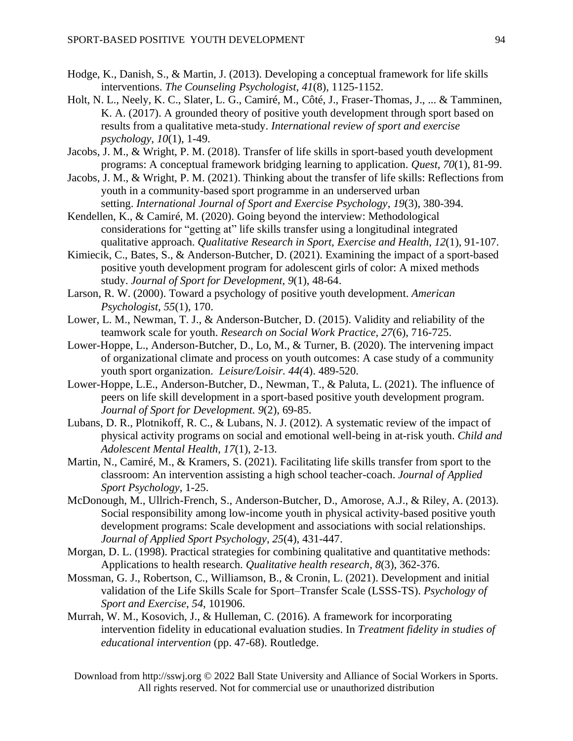- Hodge, K., Danish, S., & Martin, J. (2013). Developing a conceptual framework for life skills interventions. *The Counseling Psychologist*, *41*(8), 1125-1152.
- Holt, N. L., Neely, K. C., Slater, L. G., Camiré, M., Côté, J., Fraser-Thomas, J., ... & Tamminen, K. A. (2017). A grounded theory of positive youth development through sport based on results from a qualitative meta-study. *International review of sport and exercise psychology*, *10*(1), 1-49.
- Jacobs, J. M., & Wright, P. M. (2018). Transfer of life skills in sport-based youth development programs: A conceptual framework bridging learning to application. *Quest*, *70*(1), 81-99.
- Jacobs, J. M., & Wright, P. M. (2021). Thinking about the transfer of life skills: Reflections from youth in a community-based sport programme in an underserved urban setting. *International Journal of Sport and Exercise Psychology*, *19*(3), 380-394.
- Kendellen, K., & Camiré, M. (2020). Going beyond the interview: Methodological considerations for "getting at" life skills transfer using a longitudinal integrated qualitative approach. *Qualitative Research in Sport, Exercise and Health*, *12*(1), 91-107.
- Kimiecik, C., Bates, S., & Anderson-Butcher, D. (2021). Examining the impact of a sport-based positive youth development program for adolescent girls of color: A mixed methods study. *Journal of Sport for Development*, *9*(1), 48-64.
- Larson, R. W. (2000). Toward a psychology of positive youth development. *American Psychologist*, *55*(1), 170.
- Lower, L. M., Newman, T. J., & Anderson-Butcher, D. (2015). Validity and reliability of the teamwork scale for youth. *Research on Social Work Practice, 27*(6), 716-725.
- Lower-Hoppe, L., Anderson-Butcher, D., Lo, M., & Turner, B. (2020). The intervening impact of organizational climate and process on youth outcomes: A case study of a community youth sport organization. *Leisure/Loisir. 44(*4). 489-520.
- Lower-Hoppe, L.E., Anderson-Butcher, D., Newman, T., & Paluta, L. (2021). The influence of peers on life skill development in a sport-based positive youth development program. *Journal of Sport for Development. 9*(2), 69-85.
- Lubans, D. R., Plotnikoff, R. C., & Lubans, N. J. (2012). A systematic review of the impact of physical activity programs on social and emotional well-being in at-risk youth. *Child and Adolescent Mental Health, 17*(1), 2-13.
- Martin, N., Camiré, M., & Kramers, S. (2021). Facilitating life skills transfer from sport to the classroom: An intervention assisting a high school teacher-coach. *Journal of Applied Sport Psychology*, 1-25.
- McDonough, M., Ullrich-French, S., Anderson-Butcher, D., Amorose, A.J., & Riley, A. (2013). Social responsibility among low-income youth in physical activity-based positive youth development programs: Scale development and associations with social relationships. *Journal of Applied Sport Psychology*, *25*(4), 431-447.
- Morgan, D. L. (1998). Practical strategies for combining qualitative and quantitative methods: Applications to health research. *Qualitative health research*, *8*(3), 362-376.
- Mossman, G. J., Robertson, C., Williamson, B., & Cronin, L. (2021). Development and initial validation of the Life Skills Scale for Sport–Transfer Scale (LSSS-TS). *Psychology of Sport and Exercise*, *54*, 101906.
- Murrah, W. M., Kosovich, J., & Hulleman, C. (2016). A framework for incorporating intervention fidelity in educational evaluation studies. In *Treatment fidelity in studies of educational intervention* (pp. 47-68). Routledge.